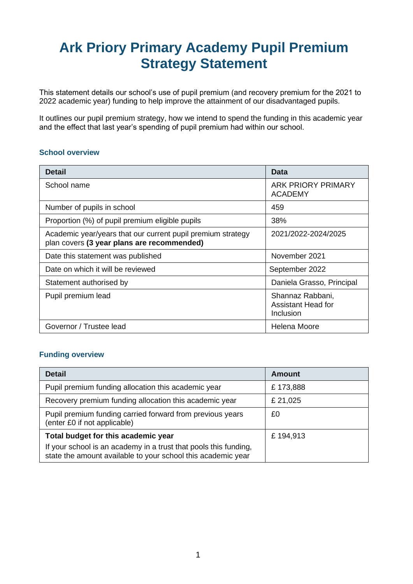# **Ark Priory Primary Academy Pupil Premium Strategy Statement**

This statement details our school's use of pupil premium (and recovery premium for the 2021 to 2022 academic year) funding to help improve the attainment of our disadvantaged pupils.

It outlines our pupil premium strategy, how we intend to spend the funding in this academic year and the effect that last year's spending of pupil premium had within our school.

#### **School overview**

| <b>Detail</b>                                                                                             | Data                                                |
|-----------------------------------------------------------------------------------------------------------|-----------------------------------------------------|
| School name                                                                                               | <b>ARK PRIORY PRIMARY</b><br><b>ACADEMY</b>         |
| Number of pupils in school                                                                                | 459                                                 |
| Proportion (%) of pupil premium eligible pupils                                                           | 38%                                                 |
| Academic year/years that our current pupil premium strategy<br>plan covers (3 year plans are recommended) | 2021/2022-2024/2025                                 |
| Date this statement was published                                                                         | November 2021                                       |
| Date on which it will be reviewed                                                                         | September 2022                                      |
| Statement authorised by                                                                                   | Daniela Grasso, Principal                           |
| Pupil premium lead                                                                                        | Shannaz Rabbani,<br>Assistant Head for<br>Inclusion |
| Governor / Trustee lead                                                                                   | Helena Moore                                        |

### **Funding overview**

| <b>Detail</b>                                                                                                                    | Amount   |
|----------------------------------------------------------------------------------------------------------------------------------|----------|
| Pupil premium funding allocation this academic year                                                                              | £173,888 |
| Recovery premium funding allocation this academic year                                                                           | £ 21,025 |
| Pupil premium funding carried forward from previous years<br>(enter £0 if not applicable)                                        | £0       |
| Total budget for this academic year                                                                                              | £194,913 |
| If your school is an academy in a trust that pools this funding,<br>state the amount available to your school this academic year |          |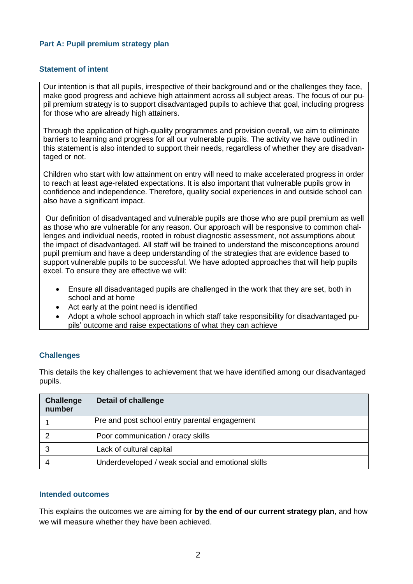#### **Part A: Pupil premium strategy plan**

#### **Statement of intent**

Our intention is that all pupils, irrespective of their background and or the challenges they face, make good progress and achieve high attainment across all subject areas. The focus of our pupil premium strategy is to support disadvantaged pupils to achieve that goal, including progress for those who are already high attainers.

Through the application of high-quality programmes and provision overall, we aim to eliminate barriers to learning and progress for all our vulnerable pupils. The activity we have outlined in this statement is also intended to support their needs, regardless of whether they are disadvantaged or not.

Children who start with low attainment on entry will need to make accelerated progress in order to reach at least age-related expectations. It is also important that vulnerable pupils grow in confidence and independence. Therefore, quality social experiences in and outside school can also have a significant impact.

Our definition of disadvantaged and vulnerable pupils are those who are pupil premium as well as those who are vulnerable for any reason. Our approach will be responsive to common challenges and individual needs, rooted in robust diagnostic assessment, not assumptions about the impact of disadvantaged. All staff will be trained to understand the misconceptions around pupil premium and have a deep understanding of the strategies that are evidence based to support vulnerable pupils to be successful. We have adopted approaches that will help pupils excel. To ensure they are effective we will:

- Ensure all disadvantaged pupils are challenged in the work that they are set, both in school and at home
- Act early at the point need is identified
- Adopt a whole school approach in which staff take responsibility for disadvantaged pupils' outcome and raise expectations of what they can achieve

#### **Challenges**

This details the key challenges to achievement that we have identified among our disadvantaged pupils.

| <b>Challenge</b><br>number | <b>Detail of challenge</b>                        |
|----------------------------|---------------------------------------------------|
|                            | Pre and post school entry parental engagement     |
|                            | Poor communication / oracy skills                 |
|                            | Lack of cultural capital                          |
|                            | Underdeveloped / weak social and emotional skills |

#### **Intended outcomes**

This explains the outcomes we are aiming for **by the end of our current strategy plan**, and how we will measure whether they have been achieved.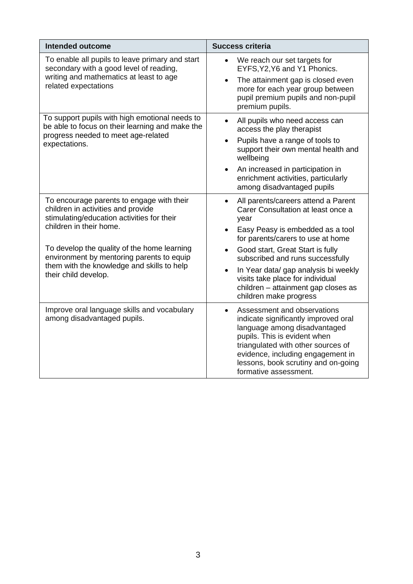| <b>Intended outcome</b>                                                                                                                                                                                                                                                                                                    | <b>Success criteria</b>                                                                                                                                                                                                                                                                                                                                                                                                             |
|----------------------------------------------------------------------------------------------------------------------------------------------------------------------------------------------------------------------------------------------------------------------------------------------------------------------------|-------------------------------------------------------------------------------------------------------------------------------------------------------------------------------------------------------------------------------------------------------------------------------------------------------------------------------------------------------------------------------------------------------------------------------------|
| To enable all pupils to leave primary and start<br>secondary with a good level of reading,<br>writing and mathematics at least to age<br>related expectations                                                                                                                                                              | We reach our set targets for<br>$\bullet$<br>EYFS, Y2, Y6 and Y1 Phonics.<br>The attainment gap is closed even<br>$\bullet$<br>more for each year group between<br>pupil premium pupils and non-pupil<br>premium pupils.                                                                                                                                                                                                            |
| To support pupils with high emotional needs to<br>be able to focus on their learning and make the<br>progress needed to meet age-related<br>expectations.                                                                                                                                                                  | All pupils who need access can<br>$\bullet$<br>access the play therapist<br>Pupils have a range of tools to<br>$\bullet$<br>support their own mental health and<br>wellbeing<br>An increased in participation in<br>enrichment activities, particularly<br>among disadvantaged pupils                                                                                                                                               |
| To encourage parents to engage with their<br>children in activities and provide<br>stimulating/education activities for their<br>children in their home.<br>To develop the quality of the home learning<br>environment by mentoring parents to equip<br>them with the knowledge and skills to help<br>their child develop. | All parents/careers attend a Parent<br>$\bullet$<br>Carer Consultation at least once a<br>year<br>Easy Peasy is embedded as a tool<br>$\bullet$<br>for parents/carers to use at home<br>Good start, Great Start is fully<br>$\bullet$<br>subscribed and runs successfully<br>In Year data/ gap analysis bi weekly<br>$\bullet$<br>visits take place for individual<br>children - attainment gap closes as<br>children make progress |
| Improve oral language skills and vocabulary<br>among disadvantaged pupils.                                                                                                                                                                                                                                                 | Assessment and observations<br>$\bullet$<br>indicate significantly improved oral<br>language among disadvantaged<br>pupils. This is evident when<br>triangulated with other sources of<br>evidence, including engagement in<br>lessons, book scrutiny and on-going<br>formative assessment.                                                                                                                                         |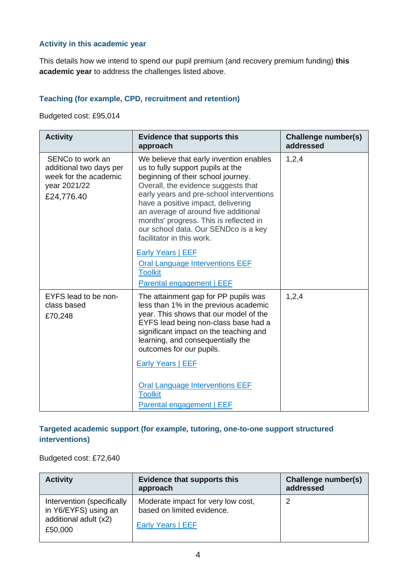# **Activity in this academic year**

This details how we intend to spend our pupil premium (and recovery premium funding) **this academic year** to address the challenges listed above.

# **Teaching (for example, CPD, recruitment and retention)**

Budgeted cost: £95,014

| <b>Activity</b>                                                                                    | <b>Evidence that supports this</b><br>approach                                                                                                                                                                                                                                                                                                                                                     | Challenge number(s)<br>addressed |
|----------------------------------------------------------------------------------------------------|----------------------------------------------------------------------------------------------------------------------------------------------------------------------------------------------------------------------------------------------------------------------------------------------------------------------------------------------------------------------------------------------------|----------------------------------|
| SENCo to work an<br>additional two days per<br>week for the academic<br>year 2021/22<br>£24,776.40 | We believe that early invention enables<br>us to fully support pupils at the<br>beginning of their school journey.<br>Overall, the evidence suggests that<br>early years and pre-school interventions<br>have a positive impact, delivering<br>an average of around five additional<br>months' progress. This is reflected in<br>our school data. Our SENDco is a key<br>facilitator in this work. | 1,2,4                            |
|                                                                                                    | <b>Early Years   EEF</b><br><b>Oral Language Interventions EEF</b><br><b>Toolkit</b><br>Parental engagement   EEF                                                                                                                                                                                                                                                                                  |                                  |
| EYFS lead to be non-<br>class based<br>£70,248                                                     | The attainment gap for PP pupils was<br>less than 1% in the previous academic<br>year. This shows that our model of the<br>EYFS lead being non-class base had a<br>significant impact on the teaching and<br>learning, and consequentially the<br>outcomes for our pupils.<br>Early Years   EEF                                                                                                    | 1,2,4                            |
|                                                                                                    | <b>Oral Language Interventions EEF</b><br><b>Toolkit</b><br><b>Parental engagement   EEF</b>                                                                                                                                                                                                                                                                                                       |                                  |

# **Targeted academic support (for example, tutoring, one-to-one support structured interventions)**

#### Budgeted cost: £72,640

| <b>Activity</b>                                                                        | <b>Evidence that supports this</b><br>approach                                        | Challenge number(s)<br>addressed |
|----------------------------------------------------------------------------------------|---------------------------------------------------------------------------------------|----------------------------------|
| Intervention (specifically<br>in Y6/EYFS) using an<br>additional adult (x2)<br>£50,000 | Moderate impact for very low cost,<br>based on limited evidence.<br>Early Years   EEF | 2                                |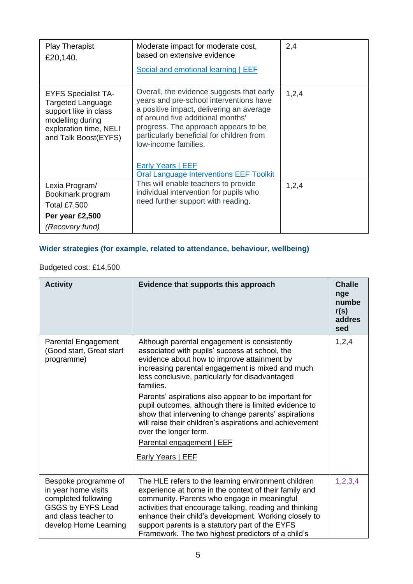| <b>Play Therapist</b><br>£20,140.                                                                                                              | Moderate impact for moderate cost,<br>based on extensive evidence<br>Social and emotional learning   EEF                                                                                                                                                                                                                                                         | 2,4   |
|------------------------------------------------------------------------------------------------------------------------------------------------|------------------------------------------------------------------------------------------------------------------------------------------------------------------------------------------------------------------------------------------------------------------------------------------------------------------------------------------------------------------|-------|
| <b>EYFS Specialist TA-</b><br>Targeted Language<br>support like in class<br>modelling during<br>exploration time, NELI<br>and Talk Boost(EYFS) | Overall, the evidence suggests that early<br>years and pre-school interventions have<br>a positive impact, delivering an average<br>of around five additional months'<br>progress. The approach appears to be<br>particularly beneficial for children from<br>low-income families.<br><b>Early Years   EEF</b><br><b>Oral Language Interventions EEF Toolkit</b> | 1,2,4 |
| Lexia Program/<br>Bookmark program<br><b>Total £7,500</b>                                                                                      | This will enable teachers to provide<br>individual intervention for pupils who<br>need further support with reading.                                                                                                                                                                                                                                             | 1,2,4 |
| Per year £2,500                                                                                                                                |                                                                                                                                                                                                                                                                                                                                                                  |       |
| (Recovery fund)                                                                                                                                |                                                                                                                                                                                                                                                                                                                                                                  |       |

# **Wider strategies (for example, related to attendance, behaviour, wellbeing)**

# Budgeted cost: £14,500

| <b>Activity</b>                                                                                                                          | Evidence that supports this approach                                                                                                                                                                                                                                                                                                                                                                                                                                                                                                                                                           | <b>Challe</b><br>nge<br>numbe<br>r(s)<br>addres<br>sed |
|------------------------------------------------------------------------------------------------------------------------------------------|------------------------------------------------------------------------------------------------------------------------------------------------------------------------------------------------------------------------------------------------------------------------------------------------------------------------------------------------------------------------------------------------------------------------------------------------------------------------------------------------------------------------------------------------------------------------------------------------|--------------------------------------------------------|
| <b>Parental Engagement</b><br>(Good start, Great start<br>programme)                                                                     | Although parental engagement is consistently<br>associated with pupils' success at school, the<br>evidence about how to improve attainment by<br>increasing parental engagement is mixed and much<br>less conclusive, particularly for disadvantaged<br>families.<br>Parents' aspirations also appear to be important for<br>pupil outcomes, although there is limited evidence to<br>show that intervening to change parents' aspirations<br>will raise their children's aspirations and achievement<br>over the longer term.<br><b>Parental engagement   EEF</b><br><b>Early Years   EEF</b> | 1,2,4                                                  |
| Bespoke programme of<br>in year home visits<br>completed following<br>GSGS by EYFS Lead<br>and class teacher to<br>develop Home Learning | The HLE refers to the learning environment children<br>experience at home in the context of their family and<br>community. Parents who engage in meaningful<br>activities that encourage talking, reading and thinking<br>enhance their child's development. Working closely to<br>support parents is a statutory part of the EYFS<br>Framework. The two highest predictors of a child's                                                                                                                                                                                                       | 1,2,3,4                                                |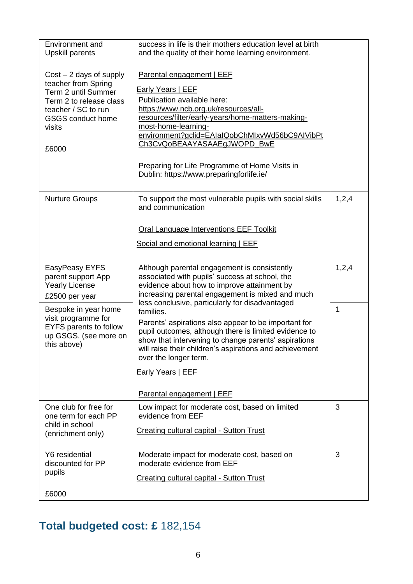| Environment and                                | success in life is their mothers education level at birth                                                     |         |
|------------------------------------------------|---------------------------------------------------------------------------------------------------------------|---------|
| <b>Upskill parents</b>                         | and the quality of their home learning environment.                                                           |         |
| $Cost - 2$ days of supply                      | Parental engagement   EEF                                                                                     |         |
| teacher from Spring<br>Term 2 until Summer     | Early Years   EEF                                                                                             |         |
| Term 2 to release class<br>teacher / SC to run | Publication available here:<br>https://www.ncb.org.uk/resources/all-                                          |         |
| <b>GSGS</b> conduct home                       | resources/filter/early-years/home-matters-making-                                                             |         |
| visits                                         | most-home-learning-<br>environment?gclid=EAIaIQobChMIxvWd56bC9AIVibPt                                         |         |
| £6000                                          | Ch3CvQoBEAAYASAAEgJWOPD_BwE                                                                                   |         |
|                                                | Preparing for Life Programme of Home Visits in<br>Dublin: https://www.preparingforlife.ie/                    |         |
| <b>Nurture Groups</b>                          | To support the most vulnerable pupils with social skills<br>and communication                                 | 1, 2, 4 |
|                                                | Oral Language Interventions EEF Toolkit                                                                       |         |
|                                                | Social and emotional learning   EEF                                                                           |         |
| EasyPeasy EYFS                                 | Although parental engagement is consistently                                                                  | 1,2,4   |
| parent support App                             | associated with pupils' success at school, the                                                                |         |
| <b>Yearly License</b><br>£2500 per year        | evidence about how to improve attainment by<br>increasing parental engagement is mixed and much               |         |
| Bespoke in year home                           | less conclusive, particularly for disadvantaged<br>families.                                                  | 1       |
| visit programme for<br>EYFS parents to follow  | Parents' aspirations also appear to be important for                                                          |         |
| up GSGS. (see more on<br>this above)           | pupil outcomes, although there is limited evidence to<br>show that intervening to change parents' aspirations |         |
|                                                | will raise their children's aspirations and achievement<br>over the longer term.                              |         |
|                                                | <b>Early Years   EEF</b>                                                                                      |         |
|                                                | Parental engagement   EEF                                                                                     |         |
| One club for free for<br>one term for each PP  | Low impact for moderate cost, based on limited<br>evidence from EEF                                           | 3       |
| child in school<br>(enrichment only)           | <b>Creating cultural capital - Sutton Trust</b>                                                               |         |
| Y6 residential                                 | Moderate impact for moderate cost, based on                                                                   | 3       |
| discounted for PP<br>pupils                    | moderate evidence from EEF                                                                                    |         |
|                                                | <b>Creating cultural capital - Sutton Trust</b>                                                               |         |
| £6000                                          |                                                                                                               |         |

# **Total budgeted cost: £** 182,154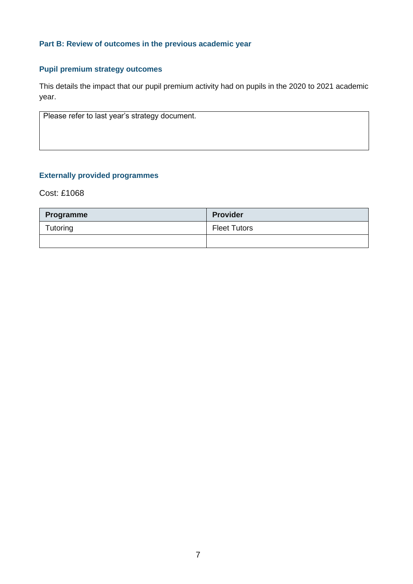# **Part B: Review of outcomes in the previous academic year**

# **Pupil premium strategy outcomes**

This details the impact that our pupil premium activity had on pupils in the 2020 to 2021 academic year.

Please refer to last year's strategy document.

### **Externally provided programmes**

Cost: £1068

| Programme | <b>Provider</b>     |
|-----------|---------------------|
| Tutoring  | <b>Fleet Tutors</b> |
|           |                     |